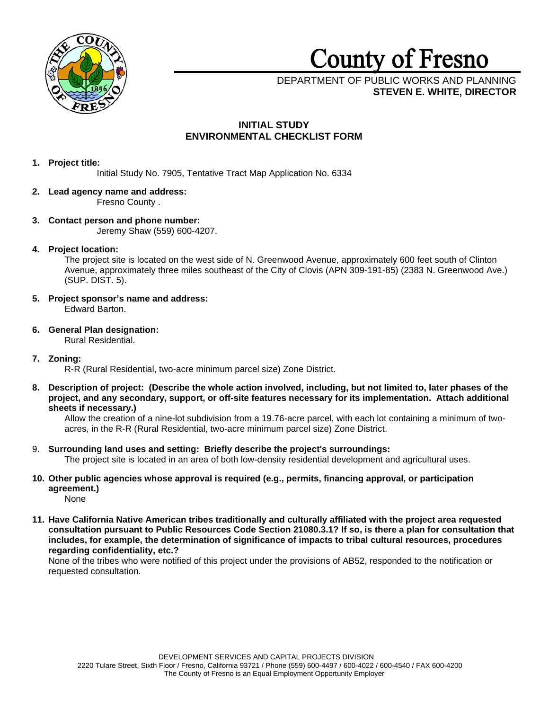

# County of Fresno

DEPARTMENT OF PUBLIC WORKS AND PLANNING **STEVEN E. WHITE, DIRECTOR**

# **INITIAL STUDY ENVIRONMENTAL CHECKLIST FORM**

# **1. Project title:**

Initial Study No. 7905, Tentative Tract Map Application No. 6334

# **2. Lead agency name and address:**

Fresno County .

# **3. Contact person and phone number:** Jeremy Shaw (559) 600-4207.

# **4. Project location:**

The project site is located on the west side of N. Greenwood Avenue, approximately 600 feet south of Clinton Avenue, approximately three miles southeast of the City of Clovis (APN 309-191-85) (2383 N. Greenwood Ave.) (SUP. DIST. 5).

- **5. Project sponsor's name and address:** Edward Barton.
- **6. General Plan designation:** Rural Residential.
- **7. Zoning:**

R-R (Rural Residential, two-acre minimum parcel size) Zone District.

**8. Description of project: (Describe the whole action involved, including, but not limited to, later phases of the project, and any secondary, support, or off-site features necessary for its implementation. Attach additional sheets if necessary.)**

Allow the creation of a nine-lot subdivision from a 19.76-acre parcel, with each lot containing a minimum of twoacres, in the R-R (Rural Residential, two-acre minimum parcel size) Zone District.

- 9. **Surrounding land uses and setting: Briefly describe the project's surroundings:** The project site is located in an area of both low-density residential development and agricultural uses.
- **10. Other public agencies whose approval is required (e.g., permits, financing approval, or participation agreement.)** None
- **11. Have California Native American tribes traditionally and culturally affiliated with the project area requested consultation pursuant to Public Resources Code Section 21080.3.1? If so, is there a plan for consultation that includes, for example, the determination of significance of impacts to tribal cultural resources, procedures regarding confidentiality, etc.?**

None of the tribes who were notified of this project under the provisions of AB52, responded to the notification or requested consultation.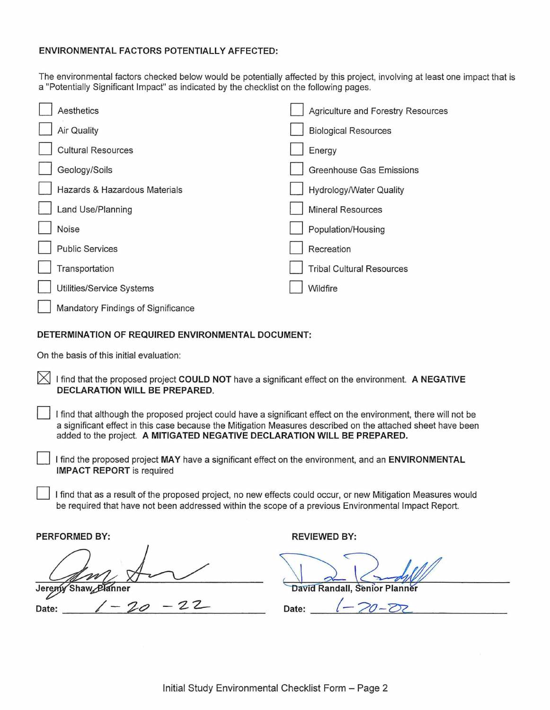# **ENVIRONMENTAL FACTORS POTENTIALLY AFFECTED:**

The environmental factors checked below would be potentially affected by this project, involving at least one impact that is a "Potentially Significant Impact" as indicated by the checklist on the following pages.

| Aesthetics                                        | Agriculture and Forestry Resources |
|---------------------------------------------------|------------------------------------|
| <b>Air Quality</b>                                | <b>Biological Resources</b>        |
| <b>Cultural Resources</b>                         | Energy                             |
| Geology/Soils                                     | <b>Greenhouse Gas Emissions</b>    |
| Hazards & Hazardous Materials                     | <b>Hydrology/Water Quality</b>     |
| Land Use/Planning                                 | <b>Mineral Resources</b>           |
| Noise                                             | Population/Housing                 |
| <b>Public Services</b>                            | Recreation                         |
| Transportation                                    | <b>Tribal Cultural Resources</b>   |
| Utilities/Service Systems                         | Wildfire                           |
| Mandatory Findings of Significance                |                                    |
| DETERMINATION OF REQUIRED ENVIRONMENTAL DOCUMENT: |                                    |
|                                                   |                                    |

On the basis of this initial evaluation:

- $\boxtimes$  I find that the proposed project COULD NOT have a significant effect on the environment. A NEGATIVE **DECLARATION WILL BE PREPARED.** 
	- I find that although the proposed project could have a significant effect on the environment, there will not be a significant effect in this case because the Mitigation Measures described on the attached sheet have been added to the project. **A MITIGATED NEGATIVE DECLARATION WILL BE PREPARED.**
	- I find the proposed project MAY have a significant effect on the environment, and an **ENVIRONMENTAL IMPACT REPORT** is required
	- I find that as a result of the proposed project, no new effects could occur, or new Mitigation Measures would be required that have not been addressed within the scope of a previous Environmental Impact Report.

**PERFORMED BY: REVIEWED BY: REVIEWED BY:** 

Shaw Planner Jeremy

David Randall, Senior Planner

**Date:** / - '7--C? - '2 z\_ **Date:** (- *?o-*Z?2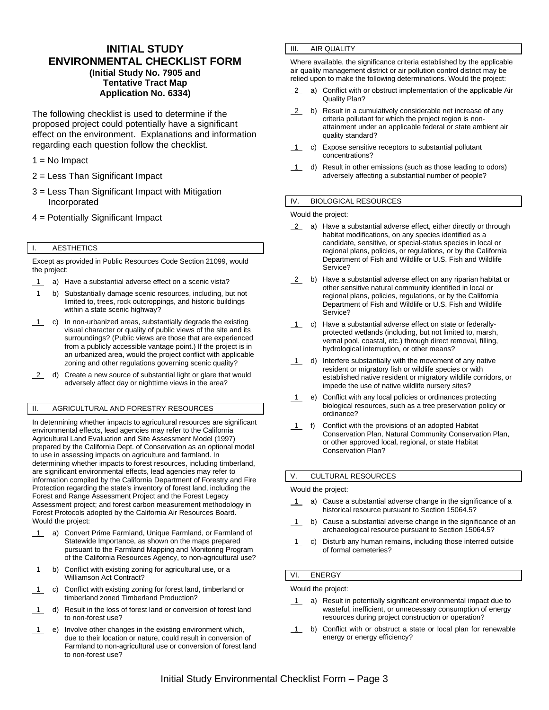# **INITIAL STUDY ENVIRONMENTAL CHECKLIST FORM (Initial Study No. 7905 and Tentative Tract Map Application No. 6334)**

The following checklist is used to determine if the proposed project could potentially have a significant effect on the environment. Explanations and information regarding each question follow the checklist.

- 1 = No Impact
- 2 = Less Than Significant Impact
- 3 = Less Than Significant Impact with Mitigation Incorporated
- 4 = Potentially Significant Impact

# I. AESTHETICS

Except as provided in Public Resources Code Section 21099, would the project:

- 1 a) Have a substantial adverse effect on a scenic vista?
- 1 b) Substantially damage scenic resources, including, but not limited to, trees, rock outcroppings, and historic buildings within a state scenic highway?
- 1 c) In non-urbanized areas, substantially degrade the existing visual character or quality of public views of the site and its surroundings? (Public views are those that are experienced from a publicly accessible vantage point.) If the project is in an urbanized area, would the project conflict with applicable zoning and other regulations governing scenic quality?
- 2 d) Create a new source of substantial light or glare that would adversely affect day or nighttime views in the area?

# II. AGRICULTURAL AND FORESTRY RESOURCES

In determining whether impacts to agricultural resources are significant environmental effects, lead agencies may refer to the California Agricultural Land Evaluation and Site Assessment Model (1997) prepared by the California Dept. of Conservation as an optional model to use in assessing impacts on agriculture and farmland. In determining whether impacts to forest resources, including timberland, are significant environmental effects, lead agencies may refer to information compiled by the California Department of Forestry and Fire Protection regarding the state's inventory of forest land, including the Forest and Range Assessment Project and the Forest Legacy Assessment project; and forest carbon measurement methodology in Forest Protocols adopted by the California Air Resources Board. Would the project:

- 1 a) Convert Prime Farmland, Unique Farmland, or Farmland of Statewide Importance, as shown on the maps prepared pursuant to the Farmland Mapping and Monitoring Program of the California Resources Agency, to non-agricultural use?
- 1 b) Conflict with existing zoning for agricultural use, or a Williamson Act Contract?
- 1 c) Conflict with existing zoning for forest land, timberland or timberland zoned Timberland Production?
- 1 d) Result in the loss of forest land or conversion of forest land to non-forest use?
- 1 e) Involve other changes in the existing environment which, due to their location or nature, could result in conversion of Farmland to non-agricultural use or conversion of forest land to non-forest use?

# III. AIR QUALITY

Where available, the significance criteria established by the applicable air quality management district or air pollution control district may be relied upon to make the following determinations. Would the project:

- 2 a) Conflict with or obstruct implementation of the applicable Air Quality Plan?
- 2 b) Result in a cumulatively considerable net increase of any criteria pollutant for which the project region is nonattainment under an applicable federal or state ambient air quality standard?
- 1 c) Expose sensitive receptors to substantial pollutant concentrations?
- 1 d) Result in other emissions (such as those leading to odors) adversely affecting a substantial number of people?

#### IV. BIOLOGICAL RESOURCES

Would the project:

- 2 a) Have a substantial adverse effect, either directly or through habitat modifications, on any species identified as a candidate, sensitive, or special-status species in local or regional plans, policies, or regulations, or by the California Department of Fish and Wildlife or U.S. Fish and Wildlife Service?
- 2 b) Have a substantial adverse effect on any riparian habitat or other sensitive natural community identified in local or regional plans, policies, regulations, or by the California Department of Fish and Wildlife or U.S. Fish and Wildlife Service?
- 1 c) Have a substantial adverse effect on state or federallyprotected wetlands (including, but not limited to, marsh, vernal pool, coastal, etc.) through direct removal, filling, hydrological interruption, or other means?
- $1$  d) Interfere substantially with the movement of any native resident or migratory fish or wildlife species or with established native resident or migratory wildlife corridors, or impede the use of native wildlife nursery sites?
- 1 e) Conflict with any local policies or ordinances protecting biological resources, such as a tree preservation policy or ordinance?
- 1 f) Conflict with the provisions of an adopted Habitat Conservation Plan, Natural Community Conservation Plan, or other approved local, regional, or state Habitat Conservation Plan?

## V. CULTURAL RESOURCES

#### Would the project:

- 1 a) Cause a substantial adverse change in the significance of a historical resource pursuant to Section 15064.5?
- 1 b) Cause a substantial adverse change in the significance of an archaeological resource pursuant to Section 15064.5?
- 1 c) Disturb any human remains, including those interred outside of formal cemeteries?

## VI. ENERGY

Would the project:

- 1 a) Result in potentially significant environmental impact due to wasteful, inefficient, or unnecessary consumption of energy resources during project construction or operation?
- 1 b) Conflict with or obstruct a state or local plan for renewable energy or energy efficiency?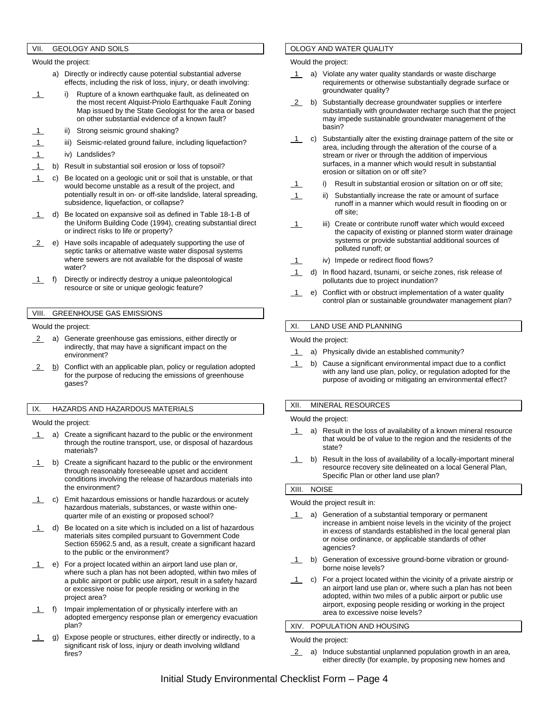# VII. GEOLOGY AND SOILS

Would the project:

- a) Directly or indirectly cause potential substantial adverse effects, including the risk of loss, injury, or death involving:
- 1 i) Rupture of a known earthquake fault, as delineated on the most recent Alquist-Priolo Earthquake Fault Zoning Map issued by the State Geologist for the area or based on other substantial evidence of a known fault?
- ii) Strong seismic ground shaking?
- iii) Seismic-related ground failure, including liquefaction?
- 1 iv) Landslides?
- 1 b) Result in substantial soil erosion or loss of topsoil?
- 1 c) Be located on a geologic unit or soil that is unstable, or that would become unstable as a result of the project, and potentially result in on- or off-site landslide, lateral spreading, subsidence, liquefaction, or collapse?
- d) Be located on expansive soil as defined in Table 18-1-B of the Uniform Building Code (1994), creating substantial direct or indirect risks to life or property?
- 2 e) Have soils incapable of adequately supporting the use of septic tanks or alternative waste water disposal systems where sewers are not available for the disposal of waste water?
- 1 f) Directly or indirectly destroy a unique paleontological resource or site or unique geologic feature?

# VIII. GREENHOUSE GAS EMISSIONS

#### Would the project:

- 2 a) Generate greenhouse gas emissions, either directly or indirectly, that may have a significant impact on the environment?
- 2 b) Conflict with an applicable plan, policy or regulation adopted for the purpose of reducing the emissions of greenhouse gases?

#### IX. HAZARDS AND HAZARDOUS MATERIALS

Would the project:

- 1 a) Create a significant hazard to the public or the environment through the routine transport, use, or disposal of hazardous materials?
- 1 b) Create a significant hazard to the public or the environment through reasonably foreseeable upset and accident conditions involving the release of hazardous materials into the environment?
- c) Emit hazardous emissions or handle hazardous or acutely hazardous materials, substances, or waste within onequarter mile of an existing or proposed school?
- $1$  d) Be located on a site which is included on a list of hazardous materials sites compiled pursuant to Government Code Section 65962.5 and, as a result, create a significant hazard to the public or the environment?
- 1 e) For a project located within an airport land use plan or, where such a plan has not been adopted, within two miles of a public airport or public use airport, result in a safety hazard or excessive noise for people residing or working in the project area?
- 1 f) Impair implementation of or physically interfere with an adopted emergency response plan or emergency evacuation plan?
- 1 g) Expose people or structures, either directly or indirectly, to a significant risk of loss, injury or death involving wildland fires?

# OLOGY AND WATER QUALITY

Would the project:

- a) Violate any water quality standards or waste discharge requirements or otherwise substantially degrade surface or groundwater quality?
- 2 b) Substantially decrease groundwater supplies or interfere substantially with groundwater recharge such that the project may impede sustainable groundwater management of the basin?
- $\overline{1}$  c) Substantially alter the existing drainage pattern of the site or area, including through the alteration of the course of a stream or river or through the addition of impervious surfaces, in a manner which would result in substantial erosion or siltation on or off site?
	- i) Result in substantial erosion or siltation on or off site;
- 1 ii) Substantially increase the rate or amount of surface runoff in a manner which would result in flooding on or off site;
- 1 iii) Create or contribute runoff water which would exceed the capacity of existing or planned storm water drainage systems or provide substantial additional sources of polluted runoff; or
- 1 iv) Impede or redirect flood flows?
- 1 d) In flood hazard, tsunami, or seiche zones, risk release of pollutants due to project inundation?
- 1 e) Conflict with or obstruct implementation of a water quality control plan or sustainable groundwater management plan?

## XI. LAND USE AND PLANNING

Would the project:

- 1 a) Physically divide an established community?
- 1 b) Cause a significant environmental impact due to a conflict with any land use plan, policy, or regulation adopted for the purpose of avoiding or mitigating an environmental effect?

## XII. MINERAL RESOURCES

Would the project:

- 1 a) Result in the loss of availability of a known mineral resource that would be of value to the region and the residents of the state?
- 1 b) Result in the loss of availability of a locally-important mineral resource recovery site delineated on a local General Plan, Specific Plan or other land use plan?

## XIII. NOISE

Would the project result in:

- 1 a) Generation of a substantial temporary or permanent increase in ambient noise levels in the vicinity of the project in excess of standards established in the local general plan or noise ordinance, or applicable standards of other agencies?
- 1 b) Generation of excessive ground-borne vibration or groundborne noise levels?
- 1 c) For a project located within the vicinity of a private airstrip or an airport land use plan or, where such a plan has not been adopted, within two miles of a public airport or public use airport, exposing people residing or working in the project area to excessive noise levels?

## XIV. POPULATION AND HOUSING

Would the project:

2 a) Induce substantial unplanned population growth in an area, either directly (for example, by proposing new homes and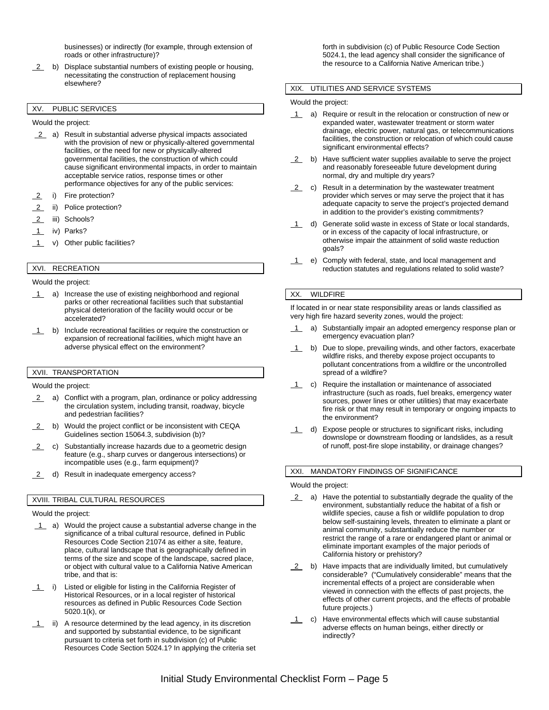businesses) or indirectly (for example, through extension of roads or other infrastructure)?

2 b) Displace substantial numbers of existing people or housing, necessitating the construction of replacement housing elsewhere?

# XV. PUBLIC SERVICES

Would the project:

- 2 a) Result in substantial adverse physical impacts associated with the provision of new or physically-altered governmental facilities, or the need for new or physically-altered governmental facilities, the construction of which could cause significant environmental impacts, in order to maintain acceptable service ratios, response times or other performance objectives for any of the public services:
- 2 i) Fire protection?
- 2 ii) Police protection?
- 2 iii) Schools?
- 1 iv) Parks?
- 1 v) Other public facilities?

# XVI. RECREATION

#### Would the project:

- 1 a) Increase the use of existing neighborhood and regional parks or other recreational facilities such that substantial physical deterioration of the facility would occur or be accelerated?
- 1 b) Include recreational facilities or require the construction or expansion of recreational facilities, which might have an adverse physical effect on the environment?

# XVII. TRANSPORTATION

Would the project:

- 2 a) Conflict with a program, plan, ordinance or policy addressing the circulation system, including transit, roadway, bicycle and pedestrian facilities?
- 2 b) Would the project conflict or be inconsistent with CEQA Guidelines section 15064.3, subdivision (b)?
- 2 c) Substantially increase hazards due to a geometric design feature (e.g., sharp curves or dangerous intersections) or incompatible uses (e.g., farm equipment)?
- 2 d) Result in inadequate emergency access?

#### XVIII. TRIBAL CULTURAL RESOURCES

Would the project:

- 1 a) Would the project cause a substantial adverse change in the significance of a tribal cultural resource, defined in Public Resources Code Section 21074 as either a site, feature, place, cultural landscape that is geographically defined in terms of the size and scope of the landscape, sacred place, or object with cultural value to a California Native American tribe, and that is:
- 1 i) Listed or eligible for listing in the California Register of Historical Resources, or in a local register of historical resources as defined in Public Resources Code Section 5020.1(k), or
- 1 ii) A resource determined by the lead agency, in its discretion and supported by substantial evidence, to be significant pursuant to criteria set forth in subdivision (c) of Public Resources Code Section 5024.1? In applying the criteria set

forth in subdivision (c) of Public Resource Code Section 5024.1, the lead agency shall consider the significance of the resource to a California Native American tribe.)

#### XIX. UTILITIES AND SERVICE SYSTEMS

Would the project:

- 1 a) Require or result in the relocation or construction of new or expanded water, wastewater treatment or storm water drainage, electric power, natural gas, or telecommunications facilities, the construction or relocation of which could cause significant environmental effects?
- 2 b) Have sufficient water supplies available to serve the project and reasonably foreseeable future development during normal, dry and multiple dry years?
- $2$  c) Result in a determination by the wastewater treatment provider which serves or may serve the project that it has adequate capacity to serve the project's projected demand in addition to the provider's existing commitments?
- 1 d) Generate solid waste in excess of State or local standards, or in excess of the capacity of local infrastructure, or otherwise impair the attainment of solid waste reduction goals?
- 1 e) Comply with federal, state, and local management and reduction statutes and regulations related to solid waste?

#### XX. WILDFIRE

If located in or near state responsibility areas or lands classified as very high fire hazard severity zones, would the project:

- a) Substantially impair an adopted emergency response plan or emergency evacuation plan?
- 1 b) Due to slope, prevailing winds, and other factors, exacerbate wildfire risks, and thereby expose project occupants to pollutant concentrations from a wildfire or the uncontrolled spread of a wildfire?
- 1 c) Require the installation or maintenance of associated infrastructure (such as roads, fuel breaks, emergency water sources, power lines or other utilities) that may exacerbate fire risk or that may result in temporary or ongoing impacts to the environment?
- 1 d) Expose people or structures to significant risks, including downslope or downstream flooding or landslides, as a result of runoff, post-fire slope instability, or drainage changes?

# XXI. MANDATORY FINDINGS OF SIGNIFICANCE

Would the project:

- 2 a) Have the potential to substantially degrade the quality of the environment, substantially reduce the habitat of a fish or wildlife species, cause a fish or wildlife population to drop below self-sustaining levels, threaten to eliminate a plant or animal community, substantially reduce the number or restrict the range of a rare or endangered plant or animal or eliminate important examples of the major periods of California history or prehistory?
- 2 b) Have impacts that are individually limited, but cumulatively considerable? ("Cumulatively considerable" means that the incremental effects of a project are considerable when viewed in connection with the effects of past projects, the effects of other current projects, and the effects of probable future projects.)
- $1$  c) Have environmental effects which will cause substantial adverse effects on human beings, either directly or indirectly?